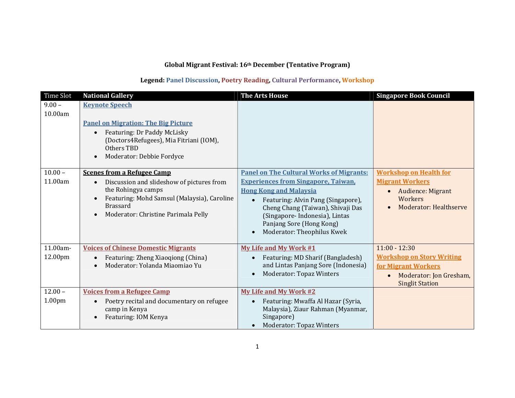# Global Migrant Festival: 16th December (Tentative Program)

# Legend: Panel Discussion, Poetry Reading, Cultural Performance, Workshop

| Time Slot                       | <b>National Gallery</b>                                                                                                                                                                                       | <b>The Arts House</b>                                                                                                                                                                                                                                                                                | <b>Singapore Book Council</b>                                                                                                   |
|---------------------------------|---------------------------------------------------------------------------------------------------------------------------------------------------------------------------------------------------------------|------------------------------------------------------------------------------------------------------------------------------------------------------------------------------------------------------------------------------------------------------------------------------------------------------|---------------------------------------------------------------------------------------------------------------------------------|
| $9.00 -$<br>10.00am             | <b>Keynote Speech</b><br><b>Panel on Migration: The Big Picture</b><br>Featuring: Dr Paddy McLisky<br>(Doctors4Refugees), Mia Fitriani (IOM),<br>Others TBD<br>Moderator: Debbie Fordyce                      |                                                                                                                                                                                                                                                                                                      |                                                                                                                                 |
| $10.00 -$<br>11.00am            | <b>Scenes from a Refugee Camp</b><br>Discussion and slideshow of pictures from<br>the Rohingya camps<br>Featuring: Mohd Samsul (Malaysia), Caroline<br><b>Brassard</b><br>Moderator: Christine Parimala Pelly | <b>Panel on The Cultural Works of Migrants:</b><br><b>Experiences from Singapore, Taiwan,</b><br><b>Hong Kong and Malaysia</b><br>Featuring: Alvin Pang (Singapore),<br>Cheng Chang (Taiwan), Shivaji Das<br>(Singapore-Indonesia), Lintas<br>Panjang Sore (Hong Kong)<br>Moderator: Theophilus Kwek | <b>Workshop on Health for</b><br><b>Migrant Workers</b><br><b>Audience: Migrant</b><br>Workers<br>Moderator: Healthserve        |
| 11.00am-<br>12.00pm             | <b>Voices of Chinese Domestic Migrants</b><br>Featuring: Zheng Xiaoqiong (China)<br>Moderator: Yolanda Miaomiao Yu                                                                                            | My Life and My Work #1<br>Featuring: MD Sharif (Bangladesh)<br>and Lintas Panjang Sore (Indonesia)<br>Moderator: Topaz Winters                                                                                                                                                                       | $11:00 - 12:30$<br><b>Workshop on Story Writing</b><br>for Migrant Workers<br>Moderator: Jon Gresham,<br><b>Singlit Station</b> |
| $12.00 -$<br>1.00 <sub>pm</sub> | <b>Voices from a Refugee Camp</b><br>Poetry recital and documentary on refugee<br>camp in Kenya<br>Featuring: IOM Kenya                                                                                       | <b>My Life and My Work #2</b><br>Featuring: Mwaffa Al Hazar (Syria,<br>Malaysia), Ziaur Rahman (Myanmar,<br>Singapore)<br><b>Moderator: Topaz Winters</b>                                                                                                                                            |                                                                                                                                 |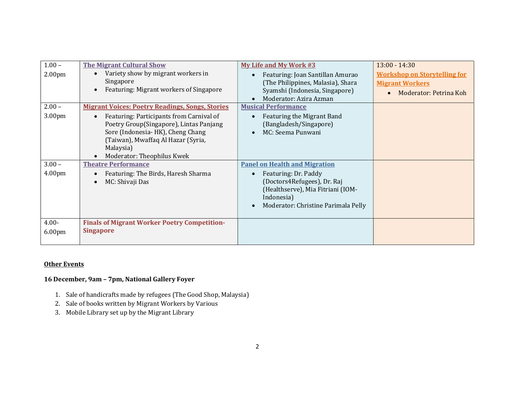| $1.00 -$<br>2.00 <sub>pm</sub> | <b>The Migrant Cultural Show</b><br>Variety show by migrant workers in<br>Singapore<br>Featuring: Migrant workers of Singapore                                                                                                                                     | <b>My Life and My Work #3</b><br>Featuring: Joan Santillan Amurao<br>(The Philippines, Malasia), Shara<br>Syamshi (Indonesia, Singapore)<br>Moderator: Azira Azman                    | $13:00 - 14:30$<br><b>Workshop on Storytelling for</b><br><b>Migrant Workers</b><br>Moderator: Petrina Koh |
|--------------------------------|--------------------------------------------------------------------------------------------------------------------------------------------------------------------------------------------------------------------------------------------------------------------|---------------------------------------------------------------------------------------------------------------------------------------------------------------------------------------|------------------------------------------------------------------------------------------------------------|
| $2.00 -$<br>3.00pm             | <b>Migrant Voices: Poetry Readings, Songs, Stories</b><br>Featuring: Participants from Carnival of<br>Poetry Group(Singapore), Lintas Panjang<br>Sore (Indonesia-HK), Cheng Chang<br>(Taiwan), Mwaffaq Al Hazar (Syria,<br>Malaysia)<br>Moderator: Theophilus Kwek | <b>Musical Performance</b><br>Featuring the Migrant Band<br>(Bangladesh/Singapore)<br>MC: Seema Punwani                                                                               |                                                                                                            |
| $3.00 -$<br>4.00 <sub>pm</sub> | <b>Theatre Performance</b><br>Featuring: The Birds, Haresh Sharma<br>MC: Shivaji Das                                                                                                                                                                               | <b>Panel on Health and Migration</b><br>Featuring: Dr. Paddy<br>(Doctors4Refugees), Dr. Raj<br>(Healthserve), Mia Fitriani (IOM-<br>Indonesia)<br>Moderator: Christine Parimala Pelly |                                                                                                            |
| $4.00 -$<br>6.00 <sub>pm</sub> | <b>Finals of Migrant Worker Poetry Competition-</b><br><b>Singapore</b>                                                                                                                                                                                            |                                                                                                                                                                                       |                                                                                                            |

### **Other Events**

# 16 December, 9am – 7pm, National Gallery Foyer

- 1. Sale of handicrafts made by refugees (The Good Shop, Malaysia)
- 2. Sale of books written by Migrant Workers by Various
- 3. Mobile Library set up by the Migrant Library